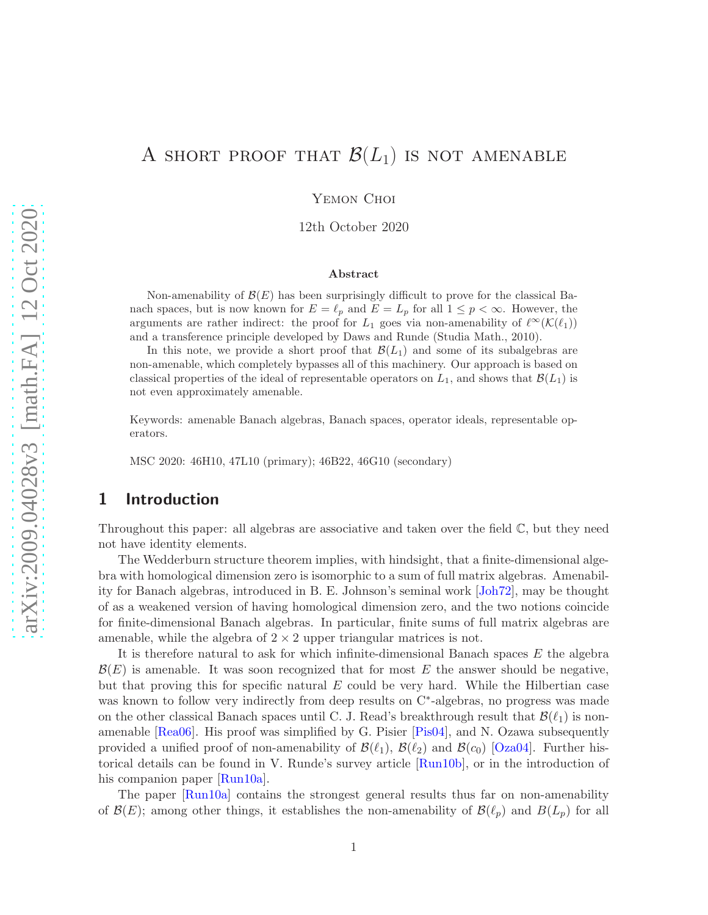# A SHORT PROOF THAT  $\mathcal{B}(L_1)$  is not amenable

YEMON CHOI

12th October 2020

#### Abstract

Non-amenability of  $\mathcal{B}(E)$  has been surprisingly difficult to prove for the classical Banach spaces, but is now known for  $E = \ell_p$  and  $E = L_p$  for all  $1 \leq p < \infty$ . However, the arguments are rather indirect: the proof for  $L_1$  goes via non-amenability of  $\ell^{\infty}(\mathcal{K}(\ell_1))$ and a transference principle developed by Daws and Runde (Studia Math., 2010).

In this note, we provide a short proof that  $\mathcal{B}(L_1)$  and some of its subalgebras are non-amenable, which completely bypasses all of this machinery. Our approach is based on classical properties of the ideal of representable operators on  $L_1$ , and shows that  $\mathcal{B}(L_1)$  is not even approximately amenable.

Keywords: amenable Banach algebras, Banach spaces, operator ideals, representable operators.

MSC 2020: 46H10, 47L10 (primary); 46B22, 46G10 (secondary)

## 1 Introduction

Throughout this paper: all algebras are associative and taken over the field  $\mathbb{C}$ , but they need not have identity elements.

The Wedderburn structure theorem implies, with hindsight, that a finite-dimensional algebra with homological dimension zero is isomorphic to a sum of full matrix algebras. Amenability for Banach algebras, introduced in B. E. Johnson's seminal work [\[Joh72\]](#page-9-0), may be thought of as a weakened version of having homological dimension zero, and the two notions coincide for finite-dimensional Banach algebras. In particular, finite sums of full matrix algebras are amenable, while the algebra of  $2 \times 2$  upper triangular matrices is not.

It is therefore natural to ask for which infinite-dimensional Banach spaces  $E$  the algebra  $\mathcal{B}(E)$  is amenable. It was soon recognized that for most E the answer should be negative, but that proving this for specific natural  $E$  could be very hard. While the Hilbertian case was known to follow very indirectly from deep results on C<sup>\*</sup>-algebras, no progress was made on the other classical Banach spaces until C. J. Read's breakthrough result that  $\mathcal{B}(\ell_1)$  is nonamenable [\[Rea06\]](#page-9-1). His proof was simplified by G. Pisier [\[Pis04\]](#page-9-2), and N. Ozawa subsequently provided a unified proof of non-amenability of  $\mathcal{B}(\ell_1)$ ,  $\mathcal{B}(\ell_2)$  and  $\mathcal{B}(c_0)$  [\[Oza04\]](#page-9-3). Further historical details can be found in V. Runde's survey article [\[Run10b\]](#page-9-4), or in the introduction of his companion paper [\[Run10a\]](#page-9-5).

The paper [\[Run10a\]](#page-9-5) contains the strongest general results thus far on non-amenability of  $\mathcal{B}(E)$ ; among other things, it establishes the non-amenability of  $\mathcal{B}(\ell_p)$  and  $B(L_p)$  for all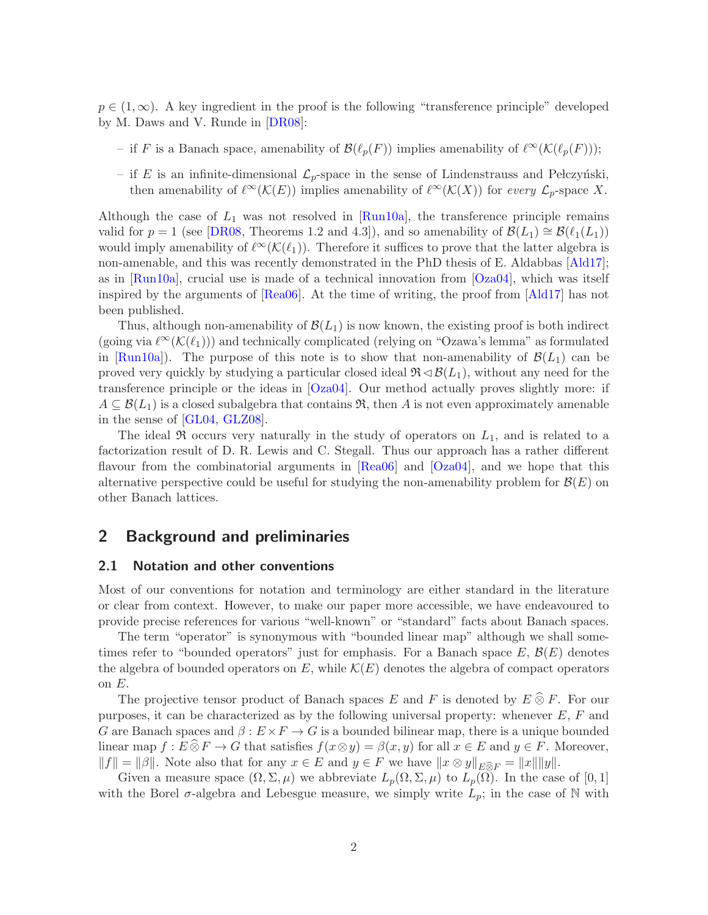$p \in (1,\infty)$ . A key ingredient in the proof is the following "transference principle" developed by M. Daws and V. Runde in [\[DR08\]](#page-8-0):

- if F is a Banach space, amenability of  $\mathcal{B}(\ell_p(F))$  implies amenability of  $\ell^{\infty}(\mathcal{K}(\ell_p(F)))$ ;
- if E is an infinite-dimensional  $\mathcal{L}_p$ -space in the sense of Lindenstrauss and Pełczyński, then amenability of  $\ell^{\infty}(\mathcal{K}(E))$  implies amenability of  $\ell^{\infty}(\mathcal{K}(X))$  for every  $\mathcal{L}_p$ -space X.

Although the case of  $L_1$  was not resolved in [\[Run10a\]](#page-9-5), the transference principle remains valid for  $p = 1$  (see [\[DR08,](#page-8-0) Theorems 1.2 and 4.3]), and so amenability of  $\mathcal{B}(L_1) \cong \mathcal{B}(\ell_1(L_1))$ would imply amenability of  $\ell^{\infty}(\mathcal{K}(\ell_1))$ . Therefore it suffices to prove that the latter algebra is non-amenable, and this was recently demonstrated in the PhD thesis of E. Aldabbas [\[Ald17\]](#page-8-1); as in [\[Run10a\]](#page-9-5), crucial use is made of a technical innovation from [\[Oza04\]](#page-9-3), which was itself inspired by the arguments of [\[Rea06\]](#page-9-1). At the time of writing, the proof from [\[Ald17\]](#page-8-1) has not been published.

Thus, although non-amenability of  $\mathcal{B}(L_1)$  is now known, the existing proof is both indirect (going via  $\ell^{\infty}(\mathcal{K}(\ell_1))$ ) and technically complicated (relying on "Ozawa's lemma" as formulated in [\[Run10a\]](#page-9-5)). The purpose of this note is to show that non-amenability of  $\mathcal{B}(L_1)$  can be proved very quickly by studying a particular closed ideal  $\Re \triangleleft \mathcal{B}(L_1)$ , without any need for the transference principle or the ideas in [\[Oza04\]](#page-9-3). Our method actually proves slightly more: if  $A \subseteq \mathcal{B}(L_1)$  is a closed subalgebra that contains  $\mathfrak{R}$ , then A is not even approximately amenable in the sense of [\[GL04,](#page-8-2) [GLZ08\]](#page-8-3).

The ideal  $\Re$  occurs very naturally in the study of operators on  $L_1$ , and is related to a factorization result of D. R. Lewis and C. Stegall. Thus our approach has a rather different flavour from the combinatorial arguments in [\[Rea06\]](#page-9-1) and [\[Oza04\]](#page-9-3), and we hope that this alternative perspective could be useful for studying the non-amenability problem for  $\mathcal{B}(E)$  on other Banach lattices.

## 2 Background and preliminaries

#### 2.1 Notation and other conventions

Most of our conventions for notation and terminology are either standard in the literature or clear from context. However, to make our paper more accessible, we have endeavoured to provide precise references for various "well-known" or "standard" facts about Banach spaces.

The term "operator" is synonymous with "bounded linear map" although we shall sometimes refer to "bounded operators" just for emphasis. For a Banach space  $E, \mathcal{B}(E)$  denotes the algebra of bounded operators on E, while  $\mathcal{K}(E)$  denotes the algebra of compact operators on  $E$ .

The projective tensor product of Banach spaces E and F is denoted by  $E \,\widehat{\otimes}\, F$ . For our purposes, it can be characterized as by the following universal property: whenever  $E, F$  and G are Banach spaces and  $\beta: E \times F \to G$  is a bounded bilinear map, there is a unique bounded linear map  $f : E \widehat{\otimes} F \to G$  that satisfies  $f(x \otimes y) = \beta(x, y)$  for all  $x \in E$  and  $y \in F$ . Moreover,  $||f|| = ||\beta||$ . Note also that for any  $x \in E$  and  $y \in F$  we have  $||x \otimes y||_{E \widehat{\otimes} F} = ||x|| ||y||$ .

Given a measure space  $(\Omega, \Sigma, \mu)$  we abbreviate  $L_p(\Omega, \Sigma, \mu)$  to  $L_p(\Omega)$ . In the case of [0, 1] with the Borel  $\sigma$ -algebra and Lebesgue measure, we simply write  $L_p$ ; in the case of N with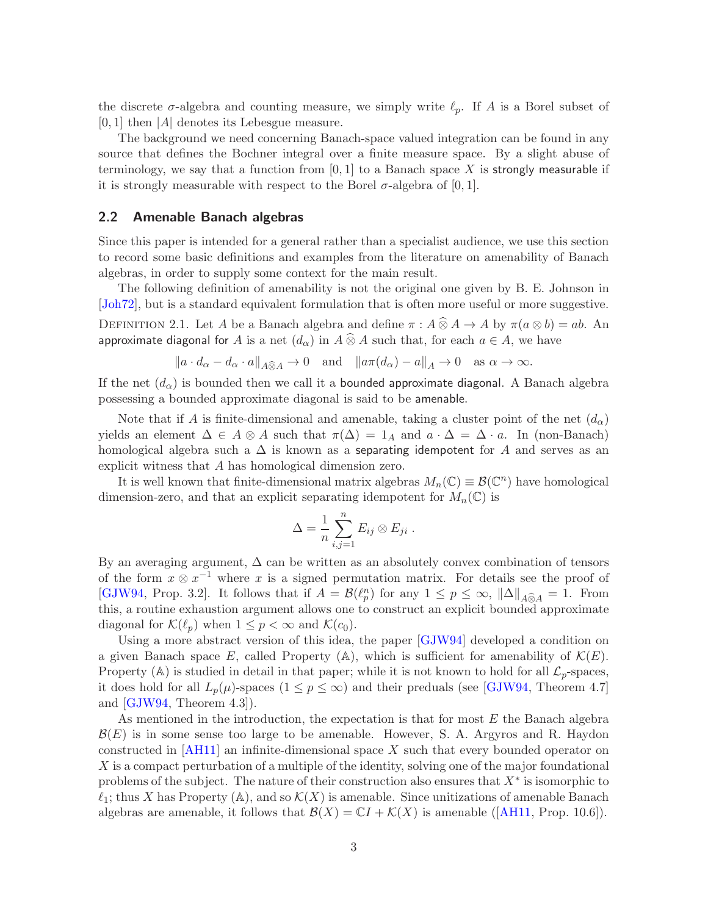the discrete  $\sigma$ -algebra and counting measure, we simply write  $\ell_p$ . If A is a Borel subset of  $[0, 1]$  then  $|A|$  denotes its Lebesgue measure.

The background we need concerning Banach-space valued integration can be found in any source that defines the Bochner integral over a finite measure space. By a slight abuse of terminology, we say that a function from  $[0, 1]$  to a Banach space X is strongly measurable if it is strongly measurable with respect to the Borel  $\sigma$ -algebra of [0, 1].

### 2.2 Amenable Banach algebras

Since this paper is intended for a general rather than a specialist audience, we use this section to record some basic definitions and examples from the literature on amenability of Banach algebras, in order to supply some context for the main result.

The following definition of amenability is not the original one given by B. E. Johnson in [\[Joh72\]](#page-9-0), but is a standard equivalent formulation that is often more useful or more suggestive. DEFINITION 2.1. Let A be a Banach algebra and define  $\pi : A \widehat{\otimes} A \to A$  by  $\pi(a \otimes b) = ab$ . An approximate diagonal for A is a net  $(d_{\alpha})$  in  $A\mathbin{\widehat{\otimes}} A$  such that, for each  $a\in A,$  we have

$$
\|a \cdot d_{\alpha} - d_{\alpha} \cdot a\|_{A \widehat{\otimes} A} \to 0 \quad \text{and} \quad \|a\pi(d_{\alpha}) - a\|_{A} \to 0 \quad \text{as } \alpha \to \infty.
$$

If the net  $(d_{\alpha})$  is bounded then we call it a bounded approximate diagonal. A Banach algebra possessing a bounded approximate diagonal is said to be amenable.

Note that if A is finite-dimensional and amenable, taking a cluster point of the net  $(d_{\alpha})$ yields an element  $\Delta \in A \otimes A$  such that  $\pi(\Delta) = 1_A$  and  $a \cdot \Delta = \Delta \cdot a$ . In (non-Banach) homological algebra such a  $\Delta$  is known as a separating idempotent for A and serves as an explicit witness that A has homological dimension zero.

It is well known that finite-dimensional matrix algebras  $M_n(\mathbb{C}) \equiv \mathcal{B}(\mathbb{C}^n)$  have homological dimension-zero, and that an explicit separating idempotent for  $M_n(\mathbb{C})$  is

$$
\Delta = \frac{1}{n} \sum_{i,j=1}^n E_{ij} \otimes E_{ji} .
$$

By an averaging argument,  $\Delta$  can be written as an absolutely convex combination of tensors of the form  $x \otimes x^{-1}$  where x is a signed permutation matrix. For details see the proof of [\[GJW94,](#page-8-4) Prop. 3.2]. It follows that if  $A = \mathcal{B}(\ell_p^n)$  for any  $1 \le p \le \infty$ ,  $\|\Delta\|_{A\widehat{\otimes}A} = 1$ . From this, a routine exhaustion argument allows one to construct an explicit bounded approximate diagonal for  $\mathcal{K}(\ell_p)$  when  $1 \leq p < \infty$  and  $\mathcal{K}(c_0)$ .

Using a more abstract version of this idea, the paper [\[GJW94\]](#page-8-4) developed a condition on a given Banach space E, called Property (A), which is sufficient for amenability of  $\mathcal{K}(E)$ . Property (A) is studied in detail in that paper; while it is not known to hold for all  $\mathcal{L}_p$ -spaces, it does hold for all  $L_p(\mu)$ -spaces  $(1 \le p \le \infty)$  and their preduals (see [\[GJW94,](#page-8-4) Theorem 4.7] and [\[GJW94,](#page-8-4) Theorem 4.3]).

As mentioned in the introduction, the expectation is that for most E the Banach algebra  $\mathcal{B}(E)$  is in some sense too large to be amenable. However, S. A. Argyros and R. Haydon constructed in  $[AH11]$  an infinite-dimensional space X such that every bounded operator on  $X$  is a compact perturbation of a multiple of the identity, solving one of the major foundational problems of the subject. The nature of their construction also ensures that  $X^*$  is isomorphic to  $\ell_1$ ; thus X has Property (A), and so  $\mathcal{K}(X)$  is amenable. Since unitizations of amenable Banach algebrasare amenable, it follows that  $\mathcal{B}(X) = \mathbb{C}I + \mathcal{K}(X)$  is amenable ([\[AH11,](#page-8-5) Prop. 10.6]).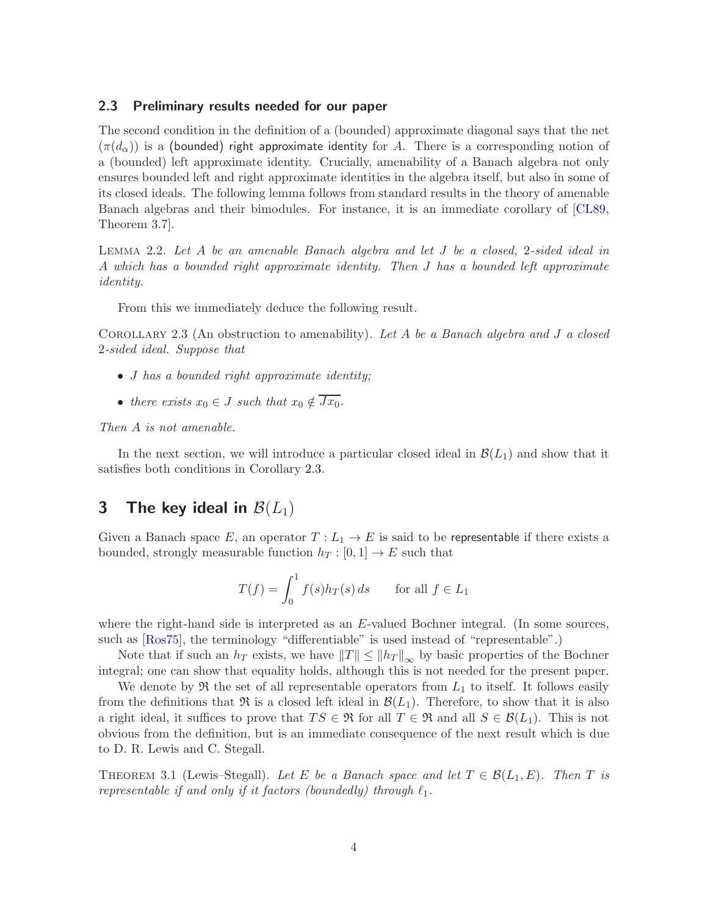### 2.3 Preliminary results needed for our paper

The second condition in the definition of a (bounded) approximate diagonal says that the net  $(\pi(d_{\alpha}))$  is a (bounded) right approximate identity for A. There is a corresponding notion of a (bounded) left approximate identity. Crucially, amenability of a Banach algebra not only ensures bounded left and right approximate identities in the algebra itself, but also in some of its closed ideals. The following lemma follows from standard results in the theory of amenable Banach algebras and their bimodules. For instance, it is an immediate corollary of [\[CL89,](#page-8-6) Theorem 3.7].

<span id="page-3-2"></span>Lemma 2.2. Let A be an amenable Banach algebra and let J be a closed, 2-sided ideal in A which has a bounded right approximate identity. Then J has a bounded left approximate identity.

From this we immediately deduce the following result.

<span id="page-3-0"></span>COROLLARY 2.3 (An obstruction to amenability). Let A be a Banach algebra and J a closed 2-sided ideal. Suppose that

- *J* has a bounded right approximate identity;
- there exists  $x_0 \in J$  such that  $x_0 \notin \overline{Jx_0}$ .

Then A is not amenable.

In the next section, we will introduce a particular closed ideal in  $\mathcal{B}(L_1)$  and show that it satisfies both conditions in Corollary [2.3.](#page-3-0)

## <span id="page-3-3"></span>3 The key ideal in  $\mathcal{B}(L_1)$

Given a Banach space E, an operator  $T : L_1 \to E$  is said to be representable if there exists a bounded, strongly measurable function  $h_T : [0, 1] \to E$  such that

$$
T(f) = \int_0^1 f(s)h_T(s) \, ds \qquad \text{for all } f \in L_1
$$

where the right-hand side is interpreted as an E-valued Bochner integral. (In some sources, such as [\[Ros75\]](#page-9-6), the terminology "differentiable" is used instead of "representable".)

Note that if such an  $h_T$  exists, we have  $||T|| \le ||h_T||_{\infty}$  by basic properties of the Bochner integral; one can show that equality holds, although this is not needed for the present paper.

We denote by  $\mathfrak{R}$  the set of all representable operators from  $L_1$  to itself. It follows easily from the definitions that  $\Re$  is a closed left ideal in  $\mathcal{B}(L_1)$ . Therefore, to show that it is also a right ideal, it suffices to prove that  $TS \in \mathfrak{R}$  for all  $T \in \mathfrak{R}$  and all  $S \in \mathcal{B}(L_1)$ . This is not obvious from the definition, but is an immediate consequence of the next result which is due to D. R. Lewis and C. Stegall.

<span id="page-3-1"></span>THEOREM 3.1 (Lewis–Stegall). Let E be a Banach space and let  $T \in \mathcal{B}(L_1, E)$ . Then T is representable if and only if it factors (boundedly) through  $\ell_1$ .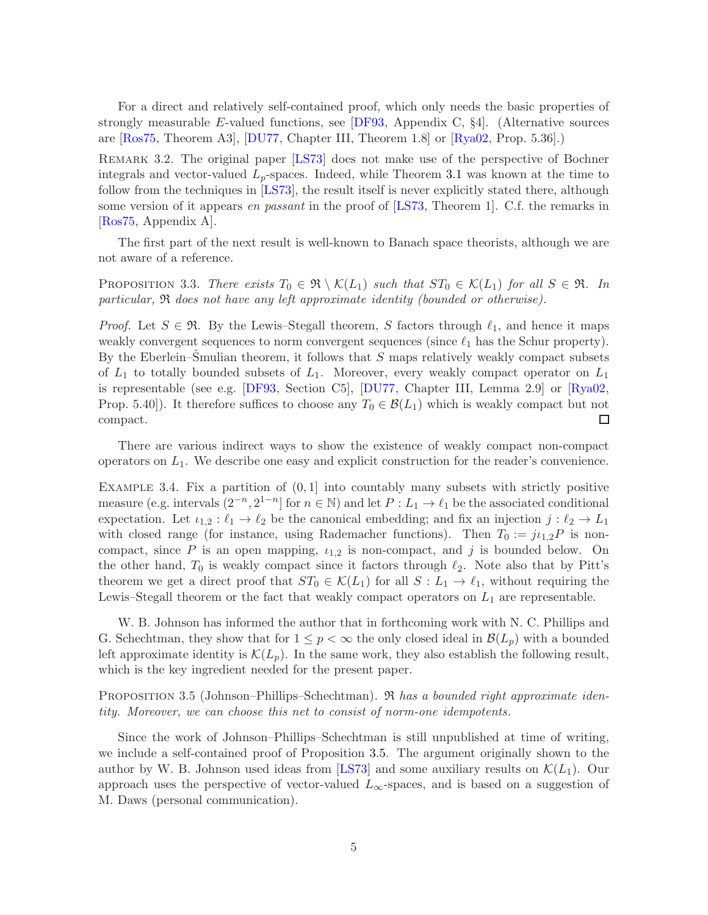For a direct and relatively self-contained proof, which only needs the basic properties of strongly measurable E-valued functions, see  $[DF93,$  Appendix C, §4. (Alternative sources are [\[Ros75,](#page-9-6) Theorem A3], [\[DU77,](#page-8-8) Chapter III, Theorem 1.8] or [\[Rya02,](#page-9-7) Prop. 5.36].)

REMARK 3.2. The original paper [\[LS73\]](#page-9-8) does not make use of the perspective of Bochner integrals and vector-valued  $L_p$ -spaces. Indeed, while Theorem [3.1](#page-3-1) was known at the time to follow from the techniques in [\[LS73\]](#page-9-8), the result itself is never explicitly stated there, although some version of it appears en passant in the proof of [\[LS73,](#page-9-8) Theorem 1]. C.f. the remarks in [\[Ros75,](#page-9-6) Appendix A].

The first part of the next result is well-known to Banach space theorists, although we are not aware of a reference.

<span id="page-4-1"></span>PROPOSITION 3.3. There exists  $T_0 \in \mathfrak{R} \setminus \mathcal{K}(L_1)$  such that  $ST_0 \in \mathcal{K}(L_1)$  for all  $S \in \mathfrak{R}$ . In particular, R does not have any left approximate identity (bounded or otherwise).

*Proof.* Let  $S \in \mathfrak{R}$ . By the Lewis–Stegall theorem, S factors through  $\ell_1$ , and hence it maps weakly convergent sequences to norm convergent sequences (since  $\ell_1$  has the Schur property). By the Eberlein–Smulian theorem, it follows that  $S$  maps relatively weakly compact subsets of  $L_1$  to totally bounded subsets of  $L_1$ . Moreover, every weakly compact operator on  $L_1$ is representable (see e.g. [\[DF93,](#page-8-7) Section C5], [\[DU77,](#page-8-8) Chapter III, Lemma 2.9] or [\[Rya02,](#page-9-7) Prop. 5.40]). It therefore suffices to choose any  $T_0 \in \mathcal{B}(L_1)$  which is weakly compact but not compact.  $\Box$ 

There are various indirect ways to show the existence of weakly compact non-compact operators on  $L_1$ . We describe one easy and explicit construction for the reader's convenience.

<span id="page-4-2"></span>EXAMPLE 3.4. Fix a partition of  $(0, 1]$  into countably many subsets with strictly positive measure (e.g. intervals  $(2^{-n}, 2^{1-n}]$  for  $n \in \mathbb{N}$ ) and let  $P: L_1 \to \ell_1$  be the associated conditional expectation. Let  $\iota_{1,2} : \ell_1 \to \ell_2$  be the canonical embedding; and fix an injection  $j : \ell_2 \to L_1$ with closed range (for instance, using Rademacher functions). Then  $T_0 := j\iota_{1,2}P$  is noncompact, since P is an open mapping,  $i_{1,2}$  is non-compact, and j is bounded below. On the other hand,  $T_0$  is weakly compact since it factors through  $\ell_2$ . Note also that by Pitt's theorem we get a direct proof that  $ST_0 \in \mathcal{K}(L_1)$  for all  $S: L_1 \to \ell_1$ , without requiring the Lewis–Stegall theorem or the fact that weakly compact operators on  $L_1$  are representable.

W. B. Johnson has informed the author that in forthcoming work with N. C. Phillips and G. Schechtman, they show that for  $1 \leq p < \infty$  the only closed ideal in  $\mathcal{B}(L_p)$  with a bounded left approximate identity is  $\mathcal{K}(L_p)$ . In the same work, they also establish the following result, which is the key ingredient needed for the present paper.

<span id="page-4-0"></span>PROPOSITION 3.5 (Johnson–Phillips–Schechtman).  $\Re$  has a bounded right approximate identity. Moreover, we can choose this net to consist of norm-one idempotents.

Since the work of Johnson–Phillips–Schechtman is still unpublished at time of writing, we include a self-contained proof of Proposition [3.5.](#page-4-0) The argument originally shown to the author by W. B. Johnson used ideas from [\[LS73\]](#page-9-8) and some auxiliary results on  $\mathcal{K}(L_1)$ . Our approach uses the perspective of vector-valued  $L_{\infty}$ -spaces, and is based on a suggestion of M. Daws (personal communication).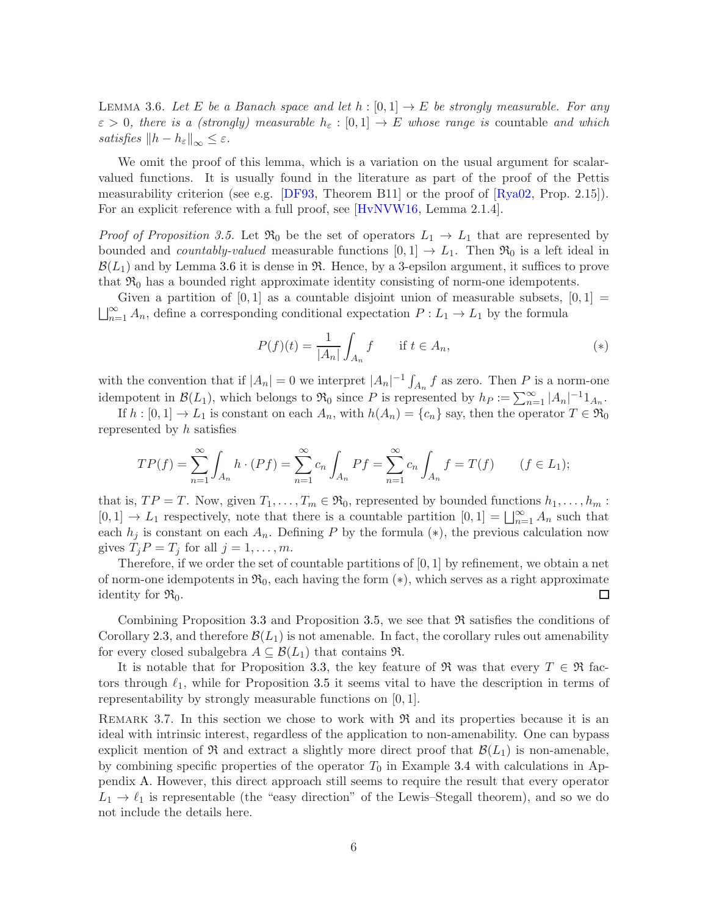<span id="page-5-0"></span>LEMMA 3.6. Let E be a Banach space and let  $h : [0,1] \to E$  be strongly measurable. For any  $\varepsilon > 0$ , there is a (strongly) measurable  $h_{\varepsilon} : [0,1] \to E$  whose range is countable and which satisfies  $||h - h_{\varepsilon}||_{\infty} \leq \varepsilon$ .

We omit the proof of this lemma, which is a variation on the usual argument for scalarvalued functions. It is usually found in the literature as part of the proof of the Pettis measurability criterion (see e.g. [\[DF93,](#page-8-7) Theorem B11] or the proof of [\[Rya02,](#page-9-7) Prop. 2.15]). For an explicit reference with a full proof, see [\[HvNVW16,](#page-8-9) Lemma 2.1.4].

*Proof of Proposition [3.5.](#page-4-0)* Let  $\mathfrak{R}_0$  be the set of operators  $L_1 \rightarrow L_1$  that are represented by bounded and *countably-valued* measurable functions  $[0,1] \rightarrow L_1$ . Then  $\mathfrak{R}_0$  is a left ideal in  $\mathcal{B}(L_1)$  and by Lemma [3.6](#page-5-0) it is dense in  $\mathfrak{R}$ . Hence, by a 3-epsilon argument, it suffices to prove that  $\mathfrak{R}_0$  has a bounded right approximate identity consisting of norm-one idempotents.

Given a partition of  $[0,1]$  as a countable disjoint union of measurable subsets,  $[0,1] =$  $\bigsqcup_{n=1}^{\infty} A_n$ , define a corresponding conditional expectation  $P: L_1 \to L_1$  by the formula

<span id="page-5-1"></span>
$$
P(f)(t) = \frac{1}{|A_n|} \int_{A_n} f \quad \text{if } t \in A_n,
$$
\n<sup>(\*)</sup>

with the convention that if  $|A_n| = 0$  we interpret  $|A_n|^{-1} \int_{A_n} f$  as zero. Then P is a norm-one idempotent in  $\mathcal{B}(L_1)$ , which belongs to  $\mathfrak{R}_0$  since P is represented by  $h_P := \sum_{n=1}^{\infty} |A_n|^{-1} 1_{A_n}$ .

If  $h : [0,1] \to L_1$  is constant on each  $A_n$ , with  $h(A_n) = \{c_n\}$  say, then the operator  $T \in \mathfrak{R}_0$ represented by h satisfies

$$
TP(f) = \sum_{n=1}^{\infty} \int_{A_n} h \cdot (Pf) = \sum_{n=1}^{\infty} c_n \int_{A_n} Pf = \sum_{n=1}^{\infty} c_n \int_{A_n} f = T(f) \qquad (f \in L_1);
$$

that is,  $TP = T$ . Now, given  $T_1, \ldots, T_m \in \mathfrak{R}_0$ , represented by bounded functions  $h_1, \ldots, h_m$ :  $[0,1] \rightarrow L_1$  respectively, note that there is a countable partition  $[0,1] = \bigsqcup_{n=1}^{\infty} A_n$  such that each  $h_j$  is constant on each  $A_n$ . Defining P by the formula (\*), the previous calculation now gives  $T_j P = T_j$  for all  $j = 1, \ldots, m$ .

Therefore, if we order the set of countable partitions of  $[0,1]$  by refinement, we obtain a net of norm-one idempotents in  $\mathfrak{R}_0$ , each having the form  $(*)$ , which serves as a right approximate identity for  $\mathfrak{R}_0$ . □

Combining Proposition [3.3](#page-4-1) and Proposition [3.5,](#page-4-0) we see that  $\Re$  satisfies the conditions of Corollary [2.3,](#page-3-0) and therefore  $\mathcal{B}(L_1)$  is not amenable. In fact, the corollary rules out amenability for every closed subalgebra  $A \subseteq \mathcal{B}(L_1)$  that contains  $\Re$ .

It is notable that for Proposition [3.3,](#page-4-1) the key feature of  $\Re$  was that every  $T \in \Re$  factors through  $\ell_1$ , while for Proposition [3.5](#page-4-0) it seems vital to have the description in terms of representability by strongly measurable functions on [0, 1].

REMARK 3.7. In this section we chose to work with  $\Re$  and its properties because it is an ideal with intrinsic interest, regardless of the application to non-amenability. One can bypass explicit mention of  $\Re$  and extract a slightly more direct proof that  $\mathcal{B}(L_1)$  is non-amenable, by combining specific properties of the operator  $T_0$  in Example [3.4](#page-4-2) with calculations in Appendix [A.](#page-7-0) However, this direct approach still seems to require the result that every operator  $L_1 \rightarrow \ell_1$  is representable (the "easy direction" of the Lewis–Stegall theorem), and so we do not include the details here.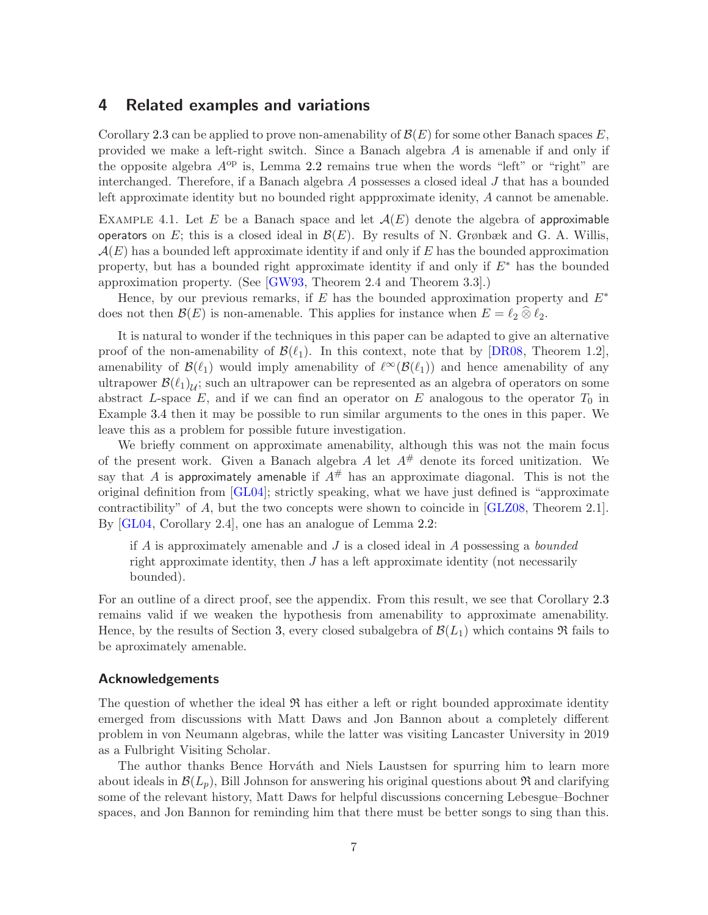## <span id="page-6-0"></span>4 Related examples and variations

Corollary [2.3](#page-3-0) can be applied to prove non-amenability of  $\mathcal{B}(E)$  for some other Banach spaces E, provided we make a left-right switch. Since a Banach algebra A is amenable if and only if the opposite algebra  $A^{op}$  is, Lemma [2.2](#page-3-2) remains true when the words "left" or "right" are interchanged. Therefore, if a Banach algebra  $A$  possesses a closed ideal  $J$  that has a bounded left approximate identity but no bounded right appproximate idenity, A cannot be amenable.

EXAMPLE 4.1. Let E be a Banach space and let  $\mathcal{A}(E)$  denote the algebra of approximable operators on E; this is a closed ideal in  $\mathcal{B}(E)$ . By results of N. Grønbæk and G. A. Willis,  $\mathcal{A}(E)$  has a bounded left approximate identity if and only if E has the bounded approximation property, but has a bounded right approximate identity if and only if  $E^*$  has the bounded approximation property. (See [\[GW93,](#page-8-10) Theorem 2.4 and Theorem 3.3].)

Hence, by our previous remarks, if E has the bounded approximation property and  $E^*$ does not then  $\mathcal{B}(E)$  is non-amenable. This applies for instance when  $E = \ell_2 \otimes \ell_2$ .

It is natural to wonder if the techniques in this paper can be adapted to give an alternative proof of the non-amenability of  $\mathcal{B}(\ell_1)$ . In this context, note that by [\[DR08,](#page-8-0) Theorem 1.2], amenability of  $\mathcal{B}(\ell_1)$  would imply amenability of  $\ell^{\infty}(\mathcal{B}(\ell_1))$  and hence amenability of any ultrapower  $\mathcal{B}(\ell_1)_{\mathcal{U}}$ ; such an ultrapower can be represented as an algebra of operators on some abstract L-space  $E$ , and if we can find an operator on E analogous to the operator  $T_0$  in Example [3.4](#page-4-2) then it may be possible to run similar arguments to the ones in this paper. We leave this as a problem for possible future investigation.

We briefly comment on approximate amenability, although this was not the main focus of the present work. Given a Banach algebra A let  $A^{\#}$  denote its forced unitization. We say that A is approximately amenable if  $A^{\#}$  has an approximate diagonal. This is not the original definition from [\[GL04\]](#page-8-2); strictly speaking, what we have just defined is "approximate contractibility" of A, but the two concepts were shown to coincide in [\[GLZ08,](#page-8-3) Theorem 2.1]. By [\[GL04,](#page-8-2) Corollary 2.4], one has an analogue of Lemma [2.2:](#page-3-2)

if  $A$  is approximately amenable and  $J$  is a closed ideal in  $A$  possessing a *bounded* right approximate identity, then  $J$  has a left approximate identity (not necessarily bounded).

For an outline of a direct proof, see the appendix. From this result, we see that Corollary [2.3](#page-3-0) remains valid if we weaken the hypothesis from amenability to approximate amenability. Hence, by the results of Section [3,](#page-3-3) every closed subalgebra of  $\mathcal{B}(L_1)$  which contains  $\mathfrak{R}$  fails to be aproximately amenable.

#### Acknowledgements

The question of whether the ideal  $\Re$  has either a left or right bounded approximate identity emerged from discussions with Matt Daws and Jon Bannon about a completely different problem in von Neumann algebras, while the latter was visiting Lancaster University in 2019 as a Fulbright Visiting Scholar.

The author thanks Bence Horváth and Niels Laustsen for spurring him to learn more about ideals in  $\mathcal{B}(L_p)$ , Bill Johnson for answering his original questions about  $\Re$  and clarifying some of the relevant history, Matt Daws for helpful discussions concerning Lebesgue–Bochner spaces, and Jon Bannon for reminding him that there must be better songs to sing than this.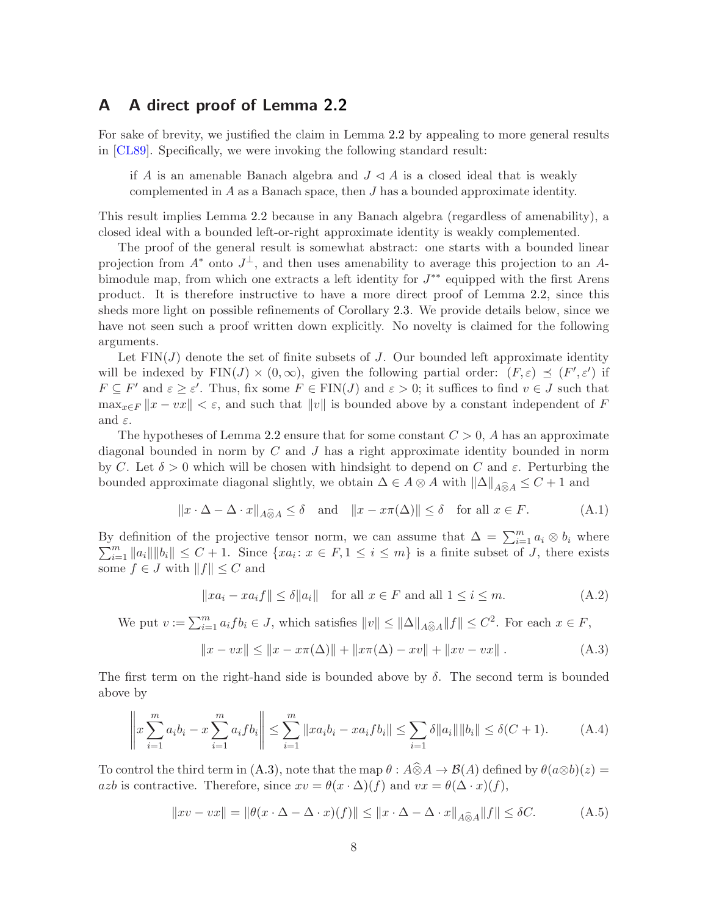## <span id="page-7-0"></span>A A direct proof of Lemma [2.2](#page-3-2)

For sake of brevity, we justified the claim in Lemma [2.2](#page-3-2) by appealing to more general results in [\[CL89\]](#page-8-6). Specifically, we were invoking the following standard result:

if A is an amenable Banach algebra and  $J \triangleleft A$  is a closed ideal that is weakly complemented in A as a Banach space, then J has a bounded approximate identity.

This result implies Lemma [2.2](#page-3-2) because in any Banach algebra (regardless of amenability), a closed ideal with a bounded left-or-right approximate identity is weakly complemented.

The proof of the general result is somewhat abstract: one starts with a bounded linear projection from  $A^*$  onto  $J^{\perp}$ , and then uses amenability to average this projection to an Abimodule map, from which one extracts a left identity for  $J^{**}$  equipped with the first Arens product. It is therefore instructive to have a more direct proof of Lemma [2.2,](#page-3-2) since this sheds more light on possible refinements of Corollary [2.3.](#page-3-0) We provide details below, since we have not seen such a proof written down explicitly. No novelty is claimed for the following arguments.

Let  $FIN(J)$  denote the set of finite subsets of J. Our bounded left approximate identity will be indexed by  $\text{FIN}(J) \times (0,\infty)$ , given the following partial order:  $(F,\varepsilon) \preceq (F',\varepsilon')$  if  $F \subseteq F'$  and  $\varepsilon \ge \varepsilon'$ . Thus, fix some  $F \in FIN(J)$  and  $\varepsilon > 0$ ; it suffices to find  $v \in J$  such that  $\max_{x \in F} ||x - vx|| < \varepsilon$ , and such that  $||v||$  is bounded above by a constant independent of F and  $\varepsilon$ .

The hypotheses of Lemma [2.2](#page-3-2) ensure that for some constant  $C > 0$ , A has an approximate diagonal bounded in norm by  $C$  and  $J$  has a right approximate identity bounded in norm by C. Let  $\delta > 0$  which will be chosen with hindsight to depend on C and  $\varepsilon$ . Perturbing the bounded approximate diagonal slightly, we obtain  $\Delta \in A \otimes A$  with  $\|\Delta\|_{A\widehat{\otimes} A} \leq C + 1$  and

$$
||x \cdot \Delta - \Delta \cdot x||_{A \widehat{\otimes} A} \le \delta \quad \text{and} \quad ||x - x\pi(\Delta)|| \le \delta \quad \text{for all } x \in F. \tag{A.1}
$$

By definition of the projective tensor norm, we can assume that  $\Delta = \sum_{i=1}^{m} \sum_{j=1}^{m} |a_{ij}|| ||b_{ij}|| \leq C + 1$ . Since  $\{xa_i : x \in F, 1 \leq i \leq m\}$  is a finite subset of. definition of the projective tensor norm, we can assume that  $\Delta = \sum_{i=1}^{m} a_i \otimes b_i$  where  $\sum_{i=1}^{m} ||a_i|| ||b_i|| \leq C + 1$ . Since  $\{xa_i : x \in F, 1 \leq i \leq m\}$  is a finite subset of J, there exists some  $f \in J$  with  $||f|| \leq C$  and

<span id="page-7-2"></span><span id="page-7-1"></span>
$$
||xa_i - xa_if|| \le \delta ||a_i|| \quad \text{for all } x \in F \text{ and all } 1 \le i \le m. \tag{A.2}
$$

We put 
$$
v := \sum_{i=1}^{m} a_i f b_i \in J
$$
, which satisfies  $||v|| \le ||\Delta||_{A \widehat{\otimes}_A} ||f|| \le C^2$ . For each  $x \in F$ ,

<span id="page-7-3"></span>
$$
||x - vx|| \le ||x - x\pi(\Delta)|| + ||x\pi(\Delta) - xv|| + ||xv - vx||.
$$
 (A.3)

The first term on the right-hand side is bounded above by  $\delta$ . The second term is bounded above by

$$
\left\|x\sum_{i=1}^{m}a_{i}b_{i}-x\sum_{i=1}^{m}a_{i}fb_{i}\right\| \leq \sum_{i=1}^{m}\|xa_{i}b_{i}-xa_{i}fb_{i}\| \leq \sum_{i=1}\delta\|a_{i}\|\|b_{i}\| \leq \delta(C+1). \tag{A.4}
$$

To control the third term in [\(A.3\)](#page-7-1), note that the map  $\theta : A\widehat{\otimes}A\to \mathcal{B}(A)$  defined by  $\theta(a\otimes b)(z) =$ azb is contractive. Therefore, since  $xv = \theta(x \cdot \Delta)(f)$  and  $vx = \theta(\Delta \cdot x)(f)$ ,

$$
||xv - vx|| = ||\theta(x \cdot \Delta - \Delta \cdot x)(f)|| \le ||x \cdot \Delta - \Delta \cdot x||_{A \widehat{\otimes} A} ||f|| \le \delta C. \tag{A.5}
$$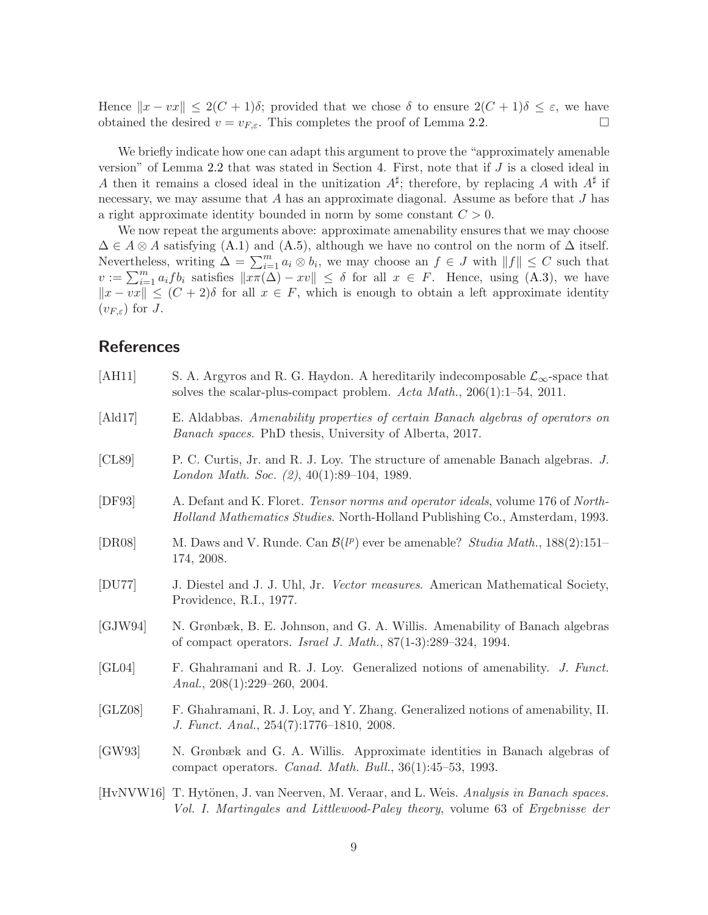Hence  $||x - vx|| \leq 2(C + 1)\delta$ ; provided that we chose  $\delta$  to ensure  $2(C + 1)\delta \leq \varepsilon$ , we have obtained the desired  $v = v_{F,\varepsilon}$ . This completes the proof of Lemma [2.2.](#page-3-2)

We briefly indicate how one can adapt this argument to prove the "approximately amenable version" of Lemma [2.2](#page-3-2) that was stated in Section [4.](#page-6-0) First, note that if J is a closed ideal in A then it remains a closed ideal in the unitization  $A^{\sharp}$ ; therefore, by replacing A with  $A^{\sharp}$  if necessary, we may assume that A has an approximate diagonal. Assume as before that J has a right approximate identity bounded in norm by some constant  $C > 0$ .

We now repeat the arguments above: approximate amenability ensures that we may choose  $\Delta \in A \otimes A$  satisfying [\(A.1\)](#page-7-2) and [\(A.5\)](#page-7-3), although we have no control on the norm of  $\Delta$  itself. Nevertheless, writing  $\Delta = \sum_{i=1}^{m} a_i \otimes b_i$ , we may choose an  $f \in J$  with  $||f|| \leq C$  such that  $v := \sum_{i=1}^m a_i f b_i$  satisfies  $\|\overline{x \pi(\Delta)} - xv\| \leq \delta$  for all  $x \in F$ . Hence, using  $(A.3)$ , we have  $||x - vx|| \leq (C + 2)\delta$  for all  $x \in F$ , which is enough to obtain a left approximate identity  $(v_{F,\varepsilon})$  for J.

## **References**

<span id="page-8-10"></span><span id="page-8-9"></span><span id="page-8-8"></span><span id="page-8-7"></span><span id="page-8-6"></span><span id="page-8-5"></span><span id="page-8-4"></span><span id="page-8-3"></span><span id="page-8-2"></span><span id="page-8-1"></span><span id="page-8-0"></span>

| [AH11]  | S. A. Argyros and R. G. Haydon. A hereditarily indecomposable $\mathcal{L}_{\infty}$ -space that<br>solves the scalar-plus-compact problem. Acta Math., $206(1):1-54$ , $2011$ . |
|---------|----------------------------------------------------------------------------------------------------------------------------------------------------------------------------------|
| [Ald17] | E. Aldabbas. Amenability properties of certain Banach algebras of operators on<br><i>Banach spaces.</i> PhD thesis, University of Alberta, 2017.                                 |
| [CL89]  | P. C. Curtis, Jr. and R. J. Loy. The structure of amenable Banach algebras. J.<br>London Math. Soc. (2), 40(1):89-104, 1989.                                                     |
| [DF93]  | A. Defant and K. Floret. Tensor norms and operator ideals, volume 176 of North-<br><i>Holland Mathematics Studies.</i> North-Holland Publishing Co., Amsterdam, 1993.            |
| [DR08]  | M. Daws and V. Runde. Can $\mathcal{B}(l^p)$ ever be amenable? Studia Math., 188(2):151–<br>174, 2008.                                                                           |
| [DU77]  | J. Diestel and J. J. Uhl, Jr. Vector measures. American Mathematical Society,<br>Providence, R.I., 1977.                                                                         |
| [GJW94] | N. Grønbæk, B. E. Johnson, and G. A. Willis. Amenability of Banach algebras<br>of compact operators. <i>Israel J. Math.</i> , $87(1-3):289-324$ , 1994.                          |
| [GL04]  | F. Ghahramani and R. J. Loy. Generalized notions of amenability. J. Funct.<br>Anal., $208(1):229-260$ , $2004$ .                                                                 |
| [GLZ08] | F. Ghahramani, R. J. Loy, and Y. Zhang. Generalized notions of amenability, II.<br>J. Funct. Anal., 254(7):1776-1810, 2008.                                                      |
| [GW93]  | N. Grønbæk and G. A. Willis. Approximate identities in Banach algebras of<br>compact operators. Canad. Math. Bull., 36(1):45-53, 1993.                                           |
|         | [HvNVW16] T. Hytönen, J. van Neerven, M. Veraar, and L. Weis. Analysis in Banach spaces.<br>Vol. I. Martingales and Littlewood-Paley theory, volume 63 of Ergebnisse der         |